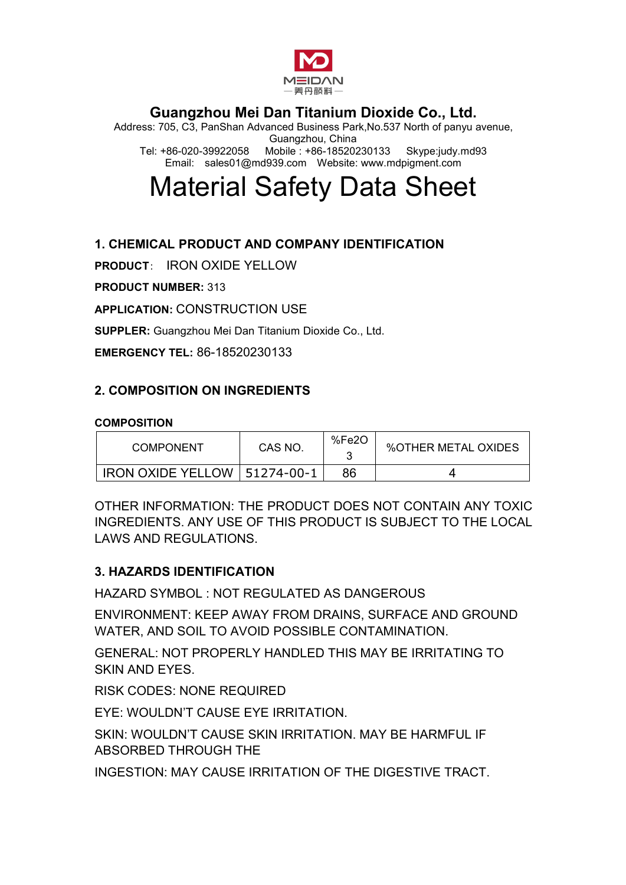

Address: 705, C3, PanShan Advanced Business Park,No.537 North of panyu avenue, Guangzhou, China Tel: +86-020-39922058 Mobile : +86-18520230133 Email: sales01@md939.com Website: www.mdpigment.com

# Material Safety Data Sheet

## **1. CHEMICAL PRODUCT AND COMPANY IDENTIFICATION**

**PRODUCT**: IRON OXIDE YELLOW

**PRODUCT NUMBER:** 313

**APPLICATION:** CONSTRUCTION USE

**SUPPLER:** Guangzhou Mei Dan Titanium Dioxide Co., Ltd.

**EMERGENCY TEL:** 86-18520230133

#### **2. COMPOSITION ON INGREDIENTS**

#### **COMPOSITION**

| <b>COMPONENT</b>         | CAS NO.    | %Fe2O | <b>%OTHER METAL OXIDES</b> |
|--------------------------|------------|-------|----------------------------|
| <b>IRON OXIDE YELLOW</b> | 51274-00-1 | 86    |                            |

OTHER INFORMATION: THE PRODUCT DOES NOT CONTAIN ANY TOXIC INGREDIENTS. ANY USE OF THIS PRODUCT IS SUBJECT TO THE LOCAL LAWS AND REGULATIONS.

#### **3. HAZARDS IDENTIFICATION**

HAZARD SYMBOL : NOT REGULATED AS DANGEROUS

ENVIRONMENT: KEEP AWAY FROM DRAINS, SURFACE AND GROUND WATER, AND SOIL TO AVOID POSSIBLE CONTAMINATION.

GENERAL: NOT PROPERLY HANDLED THIS MAY BE IRRITATING TO SKIN AND EYES.

RISK CODES: NONE REQUIRED

EYE: WOULDN'T CAUSE EYE IRRITATION.

SKIN: WOULDN'T CAUSE SKIN IRRITATION. MAY BE HARMFUL IF ABSORBED THROUGH THE

INGESTION: MAY CAUSE IRRITATION OF THE DIGESTIVE TRACT.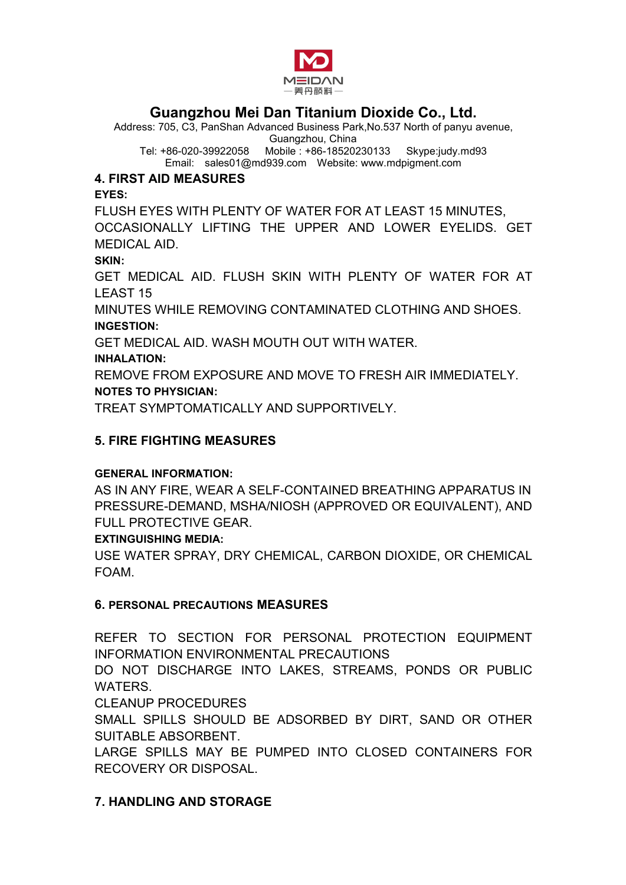

Address: 705, C3, PanShan Advanced Business Park,No.537 North of panyu avenue,

Guangzhou, China Tel: +86-020-39922058 Mobile : +86-18520230133 Email: sales01@md939.com Website: www.mdpigment.com

## **4. FIRST AID MEASURES**

**EYES:**

FLUSH EYES WITH PLENTY OF WATER FOR AT LEAST 15 MINUTES,

OCCASIONALLY LIFTING THE UPPER AND LOWER EYELIDS. GET MEDICAL AID.

**SKIN:**

GET MEDICAL AID. FLUSH SKIN WITH PLENTY OF WATER FOR AT LEAST 15

MINUTES WHILE REMOVING CONTAMINATED CLOTHING AND SHOES. **INGESTION:**

GET MEDICAL AID. WASH MOUTH OUT WITH WATER.

#### **INHALATION:**

REMOVE FROM EXPOSURE AND MOVE TO FRESH AIR IMMEDIATELY. **NOTES TO PHYSICIAN:**

TREAT SYMPTOMATICALLY AND SUPPORTIVELY.

## **5. FIRE FIGHTING MEASURES**

## **GENERAL INFORMATION:**

AS IN ANY FIRE, WEAR A SELF-CONTAINED BREATHING APPARATUS IN PRESSURE-DEMAND, MSHA/NIOSH (APPROVED OR EQUIVALENT), AND FULL PROTECTIVE GEAR.

## **EXTINGUISHING MEDIA:**

USE WATER SPRAY, DRY CHEMICAL, CARBON DIOXIDE, OR CHEMICAL FOAM.

## **6. PERSONAL PRECAUTIONS MEASURES**

REFER TO SECTION FOR PERSONAL PROTECTION EQUIPMENT INFORMATION ENVIRONMENTAL PRECAUTIONS

DO NOT DISCHARGE INTO LAKES, STREAMS, PONDS OR PUBLIC WATERS.

CLEANUP PROCEDURES

SMALL SPILLS SHOULD BE ADSORBED BY DIRT, SAND OR OTHER SUITABLE ABSORBENT.

LARGE SPILLS MAY BE PUMPED INTO CLOSED CONTAINERS FOR RECOVERY OR DISPOSAL.

## **7. HANDLING AND STORAGE**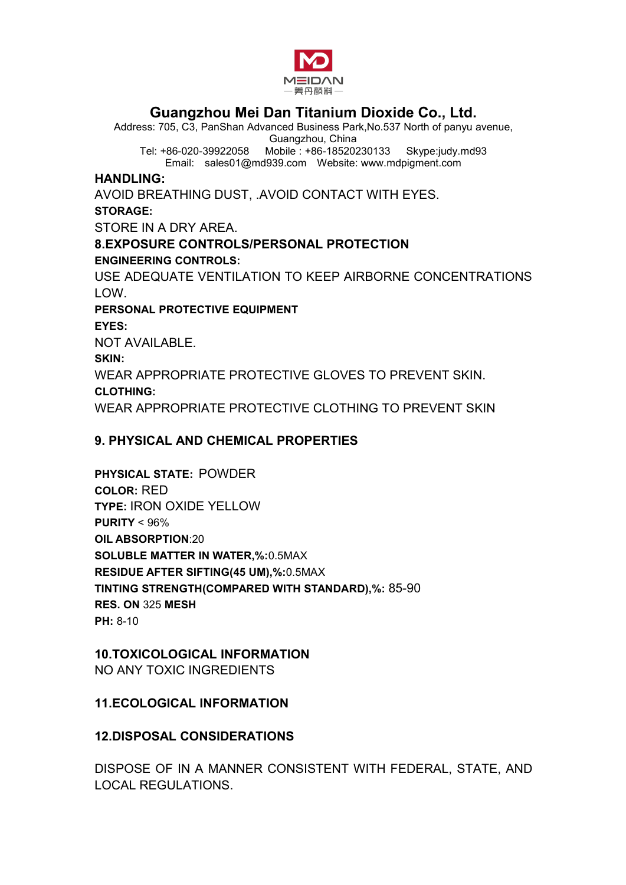

Address: 705, C3, PanShan Advanced Business Park,No.537 North of panyu avenue,

Guangzhou, China Tel: +86-020-39922058 Mobile : +86-18520230133 Email: sales01@md939.com Website: www.mdpigment.com

#### **HANDLING:**

AVOID BREATHING DUST, .AVOID CONTACT WITH EYES. **STORAGE:** STORE IN A DRY AREA. **8.EXPOSURE CONTROLS/PERSONAL PROTECTION ENGINEERING CONTROLS:** USE ADEQUATE VENTILATION TO KEEP AIRBORNE CONCENTRATIONS LOW. **PERSONAL PROTECTIVE EQUIPMENT EYES:** NOT AVAILABLE. **SKIN:** WEAR APPROPRIATE PROTECTIVE GLOVES TO PREVENT SKIN. **CLOTHING:** WEAR APPROPRIATE PROTECTIVE CLOTHING TO PREVENT SKIN

## **9. PHYSICAL AND CHEMICAL PROPERTIES**

**PHYSICAL STATE:** POWDER **COLOR:** RED **TYPE:** IRON OXIDE YELLOW **PURITY** < 96% **OIL ABSORPTION**:20 **SOLUBLE MATTER IN WATER,%:**0.5MAX **RESIDUE AFTER SIFTING(45 UM),%:**0.5MAX **TINTING STRENGTH(COMPARED WITH STANDARD),%:** 85-90 **RES. ON** 325 **MESH PH:** 8-10

# **10.TOXICOLOGICAL INFORMATION**

NO ANY TOXIC INGREDIENTS

## **11.ECOLOGICAL INFORMATION**

## **12.DISPOSAL CONSIDERATIONS**

DISPOSE OF IN A MANNER CONSISTENT WITH FEDERAL, STATE, AND LOCAL REGULATIONS.